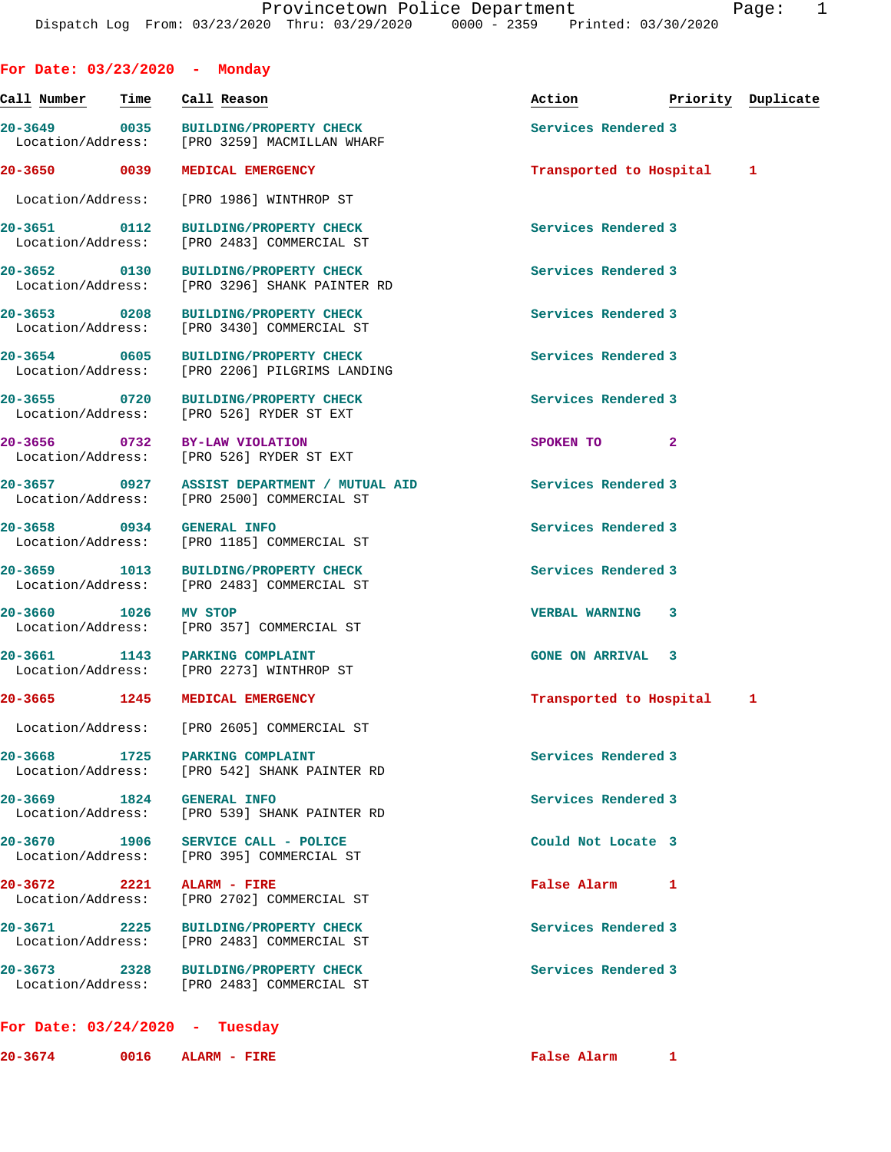| For Date: $03/23/2020 -$ Monday          |      |         |                                                                                    |                          |                    |              |
|------------------------------------------|------|---------|------------------------------------------------------------------------------------|--------------------------|--------------------|--------------|
| Call Number                              | Time |         | Call Reason                                                                        | Action                   | Priority Duplicate |              |
| 20-3649 0035<br>Location/Address:        |      |         | <b>BUILDING/PROPERTY CHECK</b><br>[PRO 3259] MACMILLAN WHARF                       | Services Rendered 3      |                    |              |
| 20-3650 0039                             |      |         | MEDICAL EMERGENCY                                                                  | Transported to Hospital  |                    | $\mathbf{1}$ |
| Location/Address:                        |      |         | [PRO 1986] WINTHROP ST                                                             |                          |                    |              |
| 0112<br>$20 - 3651$<br>Location/Address: |      |         | <b>BUILDING/PROPERTY CHECK</b><br>[PRO 2483] COMMERCIAL ST                         | Services Rendered 3      |                    |              |
| 20-3652 0130<br>Location/Address:        |      |         | <b>BUILDING/PROPERTY CHECK</b><br>[PRO 3296] SHANK PAINTER RD                      | Services Rendered 3      |                    |              |
| 20-3653 0208<br>Location/Address:        |      |         | <b>BUILDING/PROPERTY CHECK</b><br>[PRO 3430] COMMERCIAL ST                         | Services Rendered 3      |                    |              |
| 20-3654 0605<br>Location/Address:        |      |         | <b>BUILDING/PROPERTY CHECK</b><br>[PRO 2206] PILGRIMS LANDING                      | Services Rendered 3      |                    |              |
| 0720<br>$20 - 3655$<br>Location/Address: |      |         | <b>BUILDING/PROPERTY CHECK</b><br>[PRO 526] RYDER ST EXT                           | Services Rendered 3      |                    |              |
| 20-3656 0732 BY-LAW VIOLATION            |      |         | Location/Address: [PRO 526] RYDER ST EXT                                           | SPOKEN TO                | $\mathbf{2}$       |              |
| 20–3657 0927<br>Location/Address:        |      |         | ASSIST DEPARTMENT / MUTUAL AID<br>[PRO 2500] COMMERCIAL ST                         | Services Rendered 3      |                    |              |
| 20-3658 0934                             |      |         | <b>GENERAL INFO</b><br>Location/Address: [PRO 1185] COMMERCIAL ST                  | Services Rendered 3      |                    |              |
| 20-3659 1013<br>Location/Address:        |      |         | <b>BUILDING/PROPERTY CHECK</b><br>[PRO 2483] COMMERCIAL ST                         | Services Rendered 3      |                    |              |
| 20-3660 1026                             |      | MV STOP | Location/Address: [PRO 357] COMMERCIAL ST                                          | <b>VERBAL WARNING</b>    | 3                  |              |
| 20-3661 1143 PARKING COMPLAINT           |      |         | Location/Address: [PRO 2273] WINTHROP ST                                           | <b>GONE ON ARRIVAL 3</b> |                    |              |
| $20 - 3665$                              | 1245 |         | MEDICAL EMERGENCY                                                                  | Transported to Hospital  |                    | $\mathbf{1}$ |
|                                          |      |         | Location/Address: [PRO 2605] COMMERCIAL ST                                         |                          |                    |              |
| 20-3668 1725 PARKING COMPLAINT           |      |         | Location/Address: [PRO 542] SHANK PAINTER RD                                       | Services Rendered 3      |                    |              |
| 20-3669 1824 GENERAL INFO                |      |         | Location/Address: [PRO 539] SHANK PAINTER RD                                       | Services Rendered 3      |                    |              |
|                                          |      |         | 20-3670 1906 SERVICE CALL - POLICE<br>Location/Address: [PRO 395] COMMERCIAL ST    | Could Not Locate 3       |                    |              |
| 20-3672 2221 ALARM - FIRE                |      |         | Location/Address: [PRO 2702] COMMERCIAL ST                                         | False Alarm              | 1                  |              |
| 20-3671 2225<br>Location/Address:        |      |         | <b>BUILDING/PROPERTY CHECK</b><br>[PRO 2483] COMMERCIAL ST                         | Services Rendered 3      |                    |              |
|                                          |      |         | 20-3673 2328 BUILDING/PROPERTY CHECK<br>Location/Address: [PRO 2483] COMMERCIAL ST | Services Rendered 3      |                    |              |
| For Date: $03/24/2020$ - Tuesday         |      |         |                                                                                    |                          |                    |              |

**20-3674 0016 ALARM - FIRE False Alarm 1**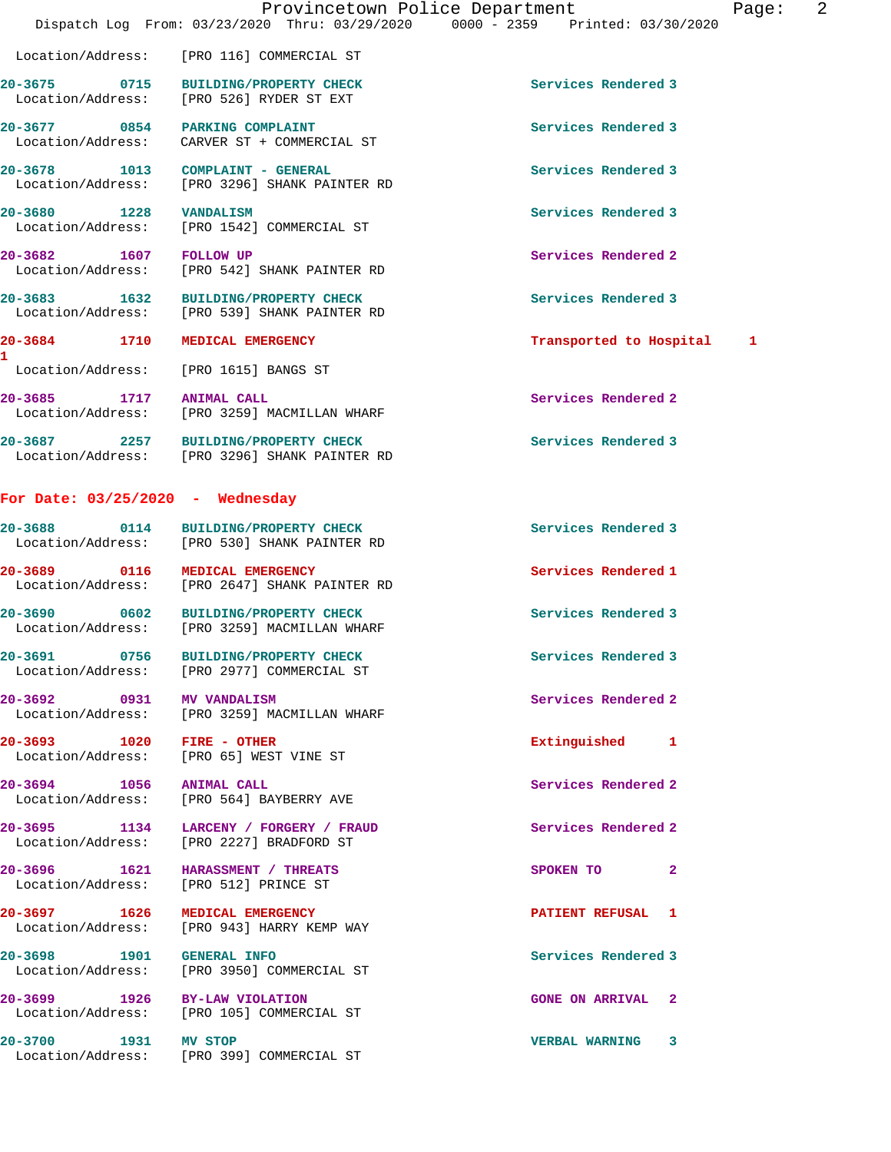|                                                                      | Provincetown Police Department<br>Dispatch Log From: 03/23/2020 Thru: 03/29/2020 0000 - 2359 Printed: 03/30/2020 |                          | Page: | $\overline{2}$ |
|----------------------------------------------------------------------|------------------------------------------------------------------------------------------------------------------|--------------------------|-------|----------------|
|                                                                      | Location/Address: [PRO 116] COMMERCIAL ST                                                                        |                          |       |                |
|                                                                      | 20-3675 0715 BUILDING/PROPERTY CHECK<br>Location/Address: [PRO 526] RYDER ST EXT                                 | Services Rendered 3      |       |                |
| 20-3677 0854 PARKING COMPLAINT                                       | Location/Address: CARVER ST + COMMERCIAL ST                                                                      | Services Rendered 3      |       |                |
| 20-3678 1013 COMPLAINT - GENERAL                                     | Location/Address: [PRO 3296] SHANK PAINTER RD                                                                    | Services Rendered 3      |       |                |
| 20-3680 1228 VANDALISM                                               | Location/Address: [PRO 1542] COMMERCIAL ST                                                                       | Services Rendered 3      |       |                |
| 20-3682 1607 FOLLOW UP                                               | Location/Address: [PRO 542] SHANK PAINTER RD                                                                     | Services Rendered 2      |       |                |
|                                                                      | 20-3683 1632 BUILDING/PROPERTY CHECK<br>Location/Address: [PRO 539] SHANK PAINTER RD                             | Services Rendered 3      |       |                |
| 20-3684 1710 MEDICAL EMERGENCY<br>1.                                 |                                                                                                                  | Transported to Hospital  | 1     |                |
| Location/Address: [PRO 1615] BANGS ST                                |                                                                                                                  |                          |       |                |
| 20-3685 1717 ANIMAL CALL                                             | Location/Address: [PRO 3259] MACMILLAN WHARF                                                                     | Services Rendered 2      |       |                |
|                                                                      | 20-3687 2257 BUILDING/PROPERTY CHECK<br>Location/Address: [PRO 3296] SHANK PAINTER RD                            | Services Rendered 3      |       |                |
| For Date: $03/25/2020$ - Wednesday                                   |                                                                                                                  |                          |       |                |
|                                                                      | 20-3688 0114 BUILDING/PROPERTY CHECK<br>Location/Address: [PRO 530] SHANK PAINTER RD                             | Services Rendered 3      |       |                |
| 20-3689 0116 MEDICAL EMERGENCY                                       | Location/Address: [PRO 2647] SHANK PAINTER RD                                                                    | Services Rendered 1      |       |                |
| 20-3690                                                              | 0602 BUILDING/PROPERTY CHECK<br>Location/Address: [PRO 3259] MACMILLAN WHARF                                     | Services Rendered 3      |       |                |
|                                                                      | 20-3691 0756 BUILDING/PROPERTY CHECK<br>Location/Address: [PRO 2977] COMMERCIAL ST                               | Services Rendered 3      |       |                |
| 20-3692 0931 MV VANDALISM                                            | Location/Address: [PRO 3259] MACMILLAN WHARF                                                                     | Services Rendered 2      |       |                |
| 20-3693 1020 FIRE - OTHER<br>Location/Address: [PRO 65] WEST VINE ST |                                                                                                                  | Extinguished 1           |       |                |
|                                                                      | 20-3694 1056 ANIMAL CALL<br>Location/Address: [PRO 564] BAYBERRY AVE                                             | Services Rendered 2      |       |                |
|                                                                      | 20-3695 1134 LARCENY / FORGERY / FRAUD<br>Location/Address: [PRO 2227] BRADFORD ST                               | Services Rendered 2      |       |                |
| Location/Address: [PRO 512] PRINCE ST                                | 20-3696 1621 HARASSMENT / THREATS                                                                                | SPOKEN TO 2              |       |                |
| 20-3697 1626                                                         | <b>MEDICAL EMERGENCY</b><br>Location/Address: [PRO 943] HARRY KEMP WAY                                           | PATIENT REFUSAL 1        |       |                |
| 20-3698 1901 GENERAL INFO                                            | Location/Address: [PRO 3950] COMMERCIAL ST                                                                       | Services Rendered 3      |       |                |
| 20-3699 1926 BY-LAW VIOLATION                                        | Location/Address: [PRO 105] COMMERCIAL ST                                                                        | <b>GONE ON ARRIVAL 2</b> |       |                |
| 1931 MV STOP<br>20-3700                                              | Location/Address: [PRO 399] COMMERCIAL ST                                                                        | VERBAL WARNING 3         |       |                |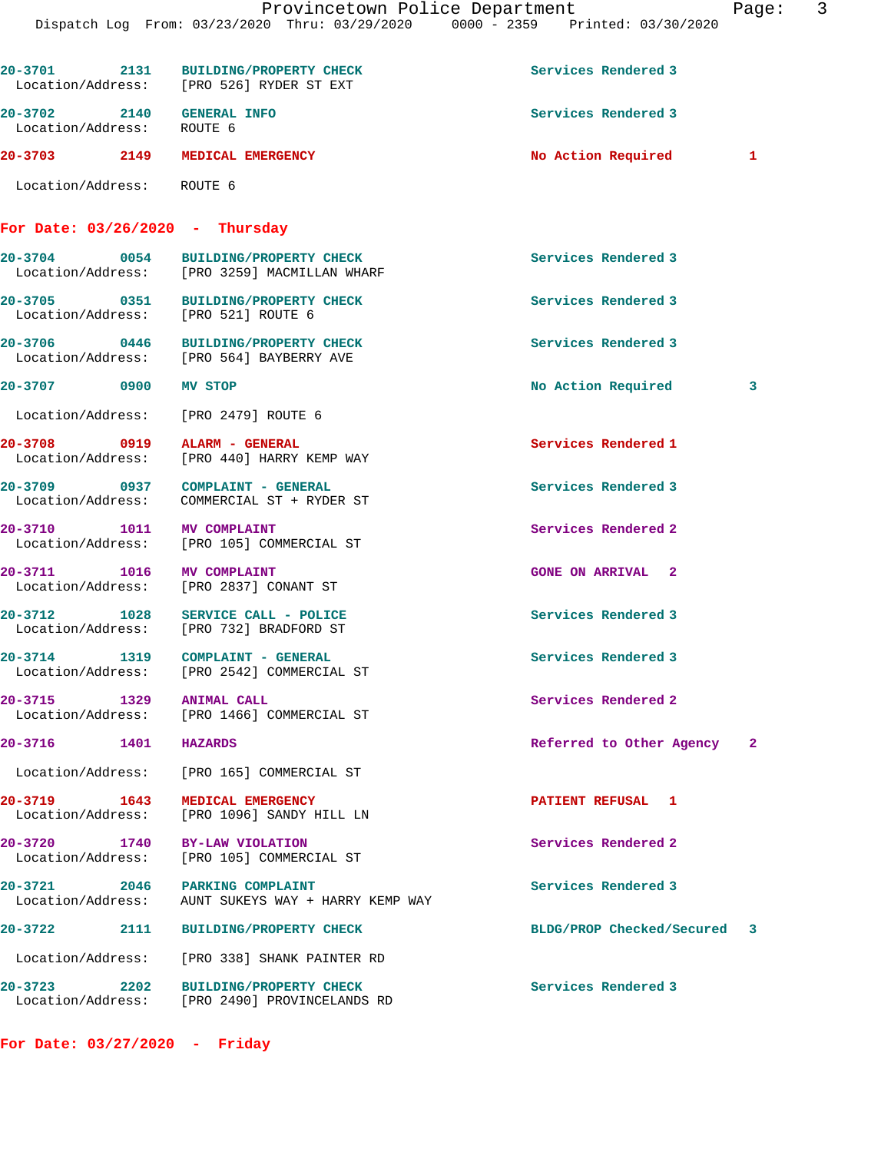| 20-3701 2131                                           | <b>BUILDING/PROPERTY CHECK</b><br>Location/Address: [PRO 526] RYDER ST EXT           | Services Rendered 3                  |   |
|--------------------------------------------------------|--------------------------------------------------------------------------------------|--------------------------------------|---|
| 20-3702 2140 GENERAL INFO<br>Location/Address: ROUTE 6 |                                                                                      | Services Rendered 3                  |   |
|                                                        | 20-3703 2149 MEDICAL EMERGENCY                                                       | No Action Required<br>$\blacksquare$ |   |
| Location/Address: ROUTE 6                              |                                                                                      |                                      |   |
|                                                        | For Date: $03/26/2020 - Thursday$                                                    |                                      |   |
|                                                        | 20-3704 0054 BUILDING/PROPERTY CHECK<br>Location/Address: [PRO 3259] MACMILLAN WHARF | Services Rendered 3                  |   |
|                                                        | 20-3705 0351 BUILDING/PROPERTY CHECK<br>Location/Address: [PRO 521] ROUTE 6          | Services Rendered 3                  |   |
|                                                        | 20-3706 0446 BUILDING/PROPERTY CHECK<br>Location/Address: [PRO 564] BAYBERRY AVE     | Services Rendered 3                  |   |
| 20-3707 0900 MV STOP                                   |                                                                                      | No Action Required                   | 3 |
|                                                        | Location/Address: [PRO 2479] ROUTE 6                                                 |                                      |   |
| 20-3708 0919                                           | ALARM - GENERAL<br>Location/Address: [PRO 440] HARRY KEMP WAY                        | Services Rendered 1                  |   |
|                                                        | 20-3709 0937 COMPLAINT - GENERAL<br>Location/Address: COMMERCIAL ST + RYDER ST       | Services Rendered 3                  |   |
| 20-3710 1011 MV COMPLAINT                              | Location/Address: [PRO 105] COMMERCIAL ST                                            | Services Rendered 2                  |   |
| 20-3711 1016 MV COMPLAINT                              | Location/Address: [PRO 2837] CONANT ST                                               | <b>GONE ON ARRIVAL 2</b>             |   |
|                                                        | 20-3712 1028 SERVICE CALL - POLICE<br>Location/Address: [PRO 732] BRADFORD ST        | Services Rendered 3                  |   |
|                                                        | 20-3714 1319 COMPLAINT - GENERAL<br>Location/Address: [PRO 2542] COMMERCIAL ST       | Services Rendered 3                  |   |
| 1329<br>$20 - 3715$                                    | <b>ANIMAL CALL</b><br>Location/Address: [PRO 1466] COMMERCIAL ST                     | Services Rendered 2                  |   |
| $20 - 3716$                                            | 1401 HAZARDS                                                                         | Referred to Other Agency 2           |   |
|                                                        | Location/Address: [PRO 165] COMMERCIAL ST                                            |                                      |   |
| 20-3719 1643                                           | MEDICAL EMERGENCY<br>Location/Address: [PRO 1096] SANDY HILL LN                      | PATIENT REFUSAL 1                    |   |
|                                                        | 20-3720 1740 BY-LAW VIOLATION<br>Location/Address: [PRO 105] COMMERCIAL ST           | Services Rendered 2                  |   |
|                                                        | 20-3721 2046 PARKING COMPLAINT<br>Location/Address: AUNT SUKEYS WAY + HARRY KEMP WAY | Services Rendered 3                  |   |
|                                                        | 20-3722 2111 BUILDING/PROPERTY CHECK                                                 | BLDG/PROP Checked/Secured 3          |   |
|                                                        | Location/Address: [PRO 338] SHANK PAINTER RD                                         |                                      |   |
| 20–3723 2202                                           | <b>BUILDING/PROPERTY CHECK</b><br>Location/Address: [PRO 2490] PROVINCELANDS RD      | Services Rendered 3                  |   |

**For Date: 03/27/2020 - Friday**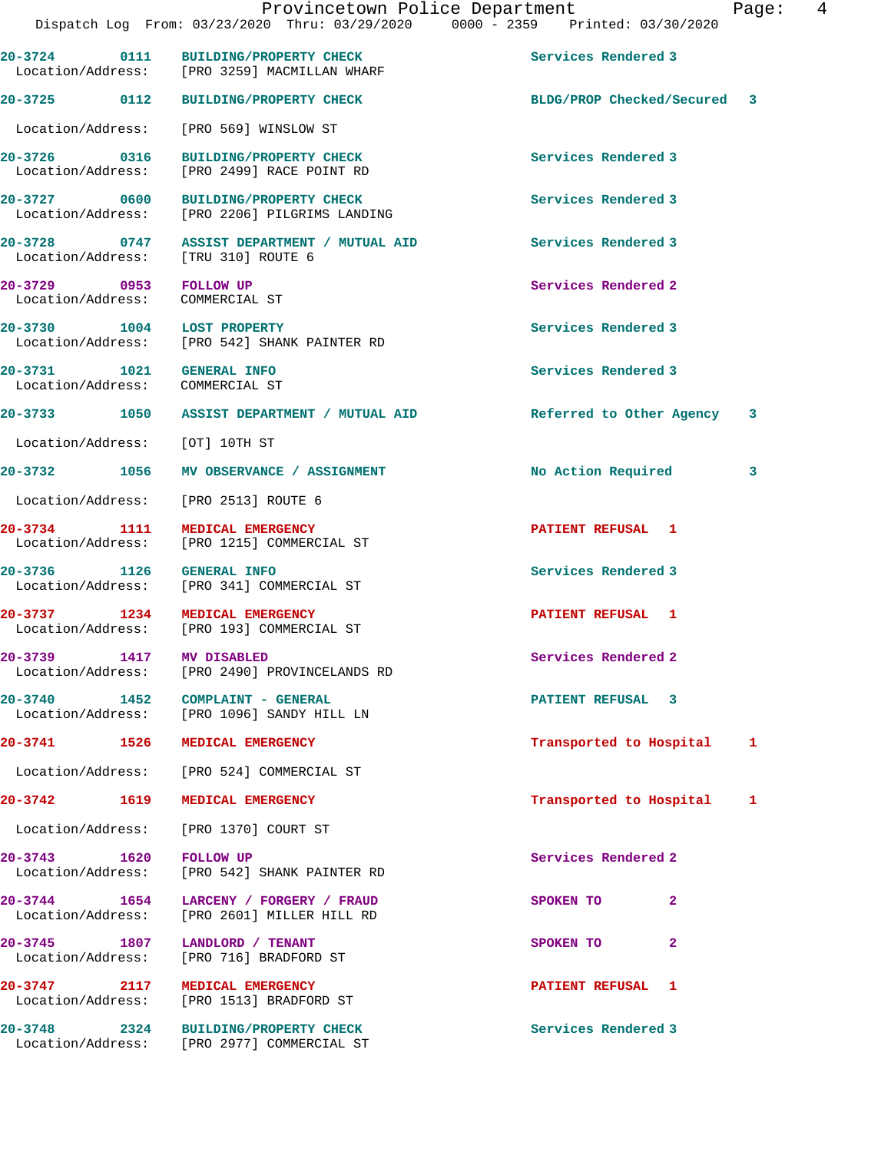**20-3725 0112 BUILDING/PROPERTY CHECK BLDG/PROP Checked/Secured 3** Location/Address: [PRO 569] WINSLOW ST **20-3726 0316 BUILDING/PROPERTY CHECK Services Rendered 3** 

**20-3727 0600 BUILDING/PROPERTY CHECK Services Rendered 3**  Location/Address: [PRO 2206] PILGRIMS LANDING

**20-3728 0747 ASSIST DEPARTMENT / MUTUAL AID Services Rendered 3**  Location/Address: [TRU 310] ROUTE 6

**20-3729 0953 FOLLOW UP Services Rendered 2**  Location/Address: COMMERCIAL ST

Location/Address: [PRO 2499] RACE POINT RD

**20-3730 1004 LOST PROPERTY Services Rendered 3**  Location/Address: [PRO 542] SHANK PAINTER RD

Location/Address: COMMERCIAL ST

Location/Address: [OT] 10TH ST

Location/Address: [PRO 2513] ROUTE 6

**20-3734 1111 MEDICAL EMERGENCY PATIENT REFUSAL 1**  Location/Address: [PRO 1215] COMMERCIAL ST

**20-3736 1126 GENERAL INFO Services Rendered 3**  Location/Address: [PRO 341] COMMERCIAL ST

**20-3737 1234 MEDICAL EMERGENCY PATIENT REFUSAL 1**<br>
Location/Address: [PRO 193] COMMERCIAL ST

Location/Address: [PRO 2490] PROVINCELANDS RD

**20-3740 1452 COMPLAINT - GENERAL PATIENT REFUSAL 3**  Location/Address: [PRO 1096] SANDY HILL LN

Location/Address: [PRO 524] COMMERCIAL ST

Location/Address: [PRO 1370] COURT ST

**20-3743** 1620 FOLLOW UP **1620** FOLLOW UP **Services Rendered 2 Integral 2 Integral 2 ICCO** [PRO 542] SHANK PAINTER RD

[PRO 193] COMMERCIAL ST

**20-3744 1654 LARCENY / FORGERY / FRAUD SPOKEN TO 2**  Location/Address: [PRO 2601] MILLER HILL RD

**20-3745 1807 LANDLORD / TENANT SPOKEN TO 2**  Location/Address: [PRO 716] BRADFORD ST

**20-3747 2117 MEDICAL EMERGENCY PATIENT REFUSAL 1**  Location/Address: [PRO 1513] BRADFORD ST

**20-3748 2324 BUILDING/PROPERTY CHECK Services Rendered 3**  Location/Address: [PRO 2977] COMMERCIAL ST

**20-3731 1021 GENERAL INFO Services Rendered 3** 

**20-3733 1050 ASSIST DEPARTMENT / MUTUAL AID Referred to Other Agency 3**

**20-3732 1056 MV OBSERVANCE / ASSIGNMENT No Action Required 3**

**20-3739 1417 MV DISABLED Services Rendered 2** 

**20-3741 1526 MEDICAL EMERGENCY Transported to Hospital 1**

**20-3742 1619 MEDICAL EMERGENCY Transported to Hospital 1**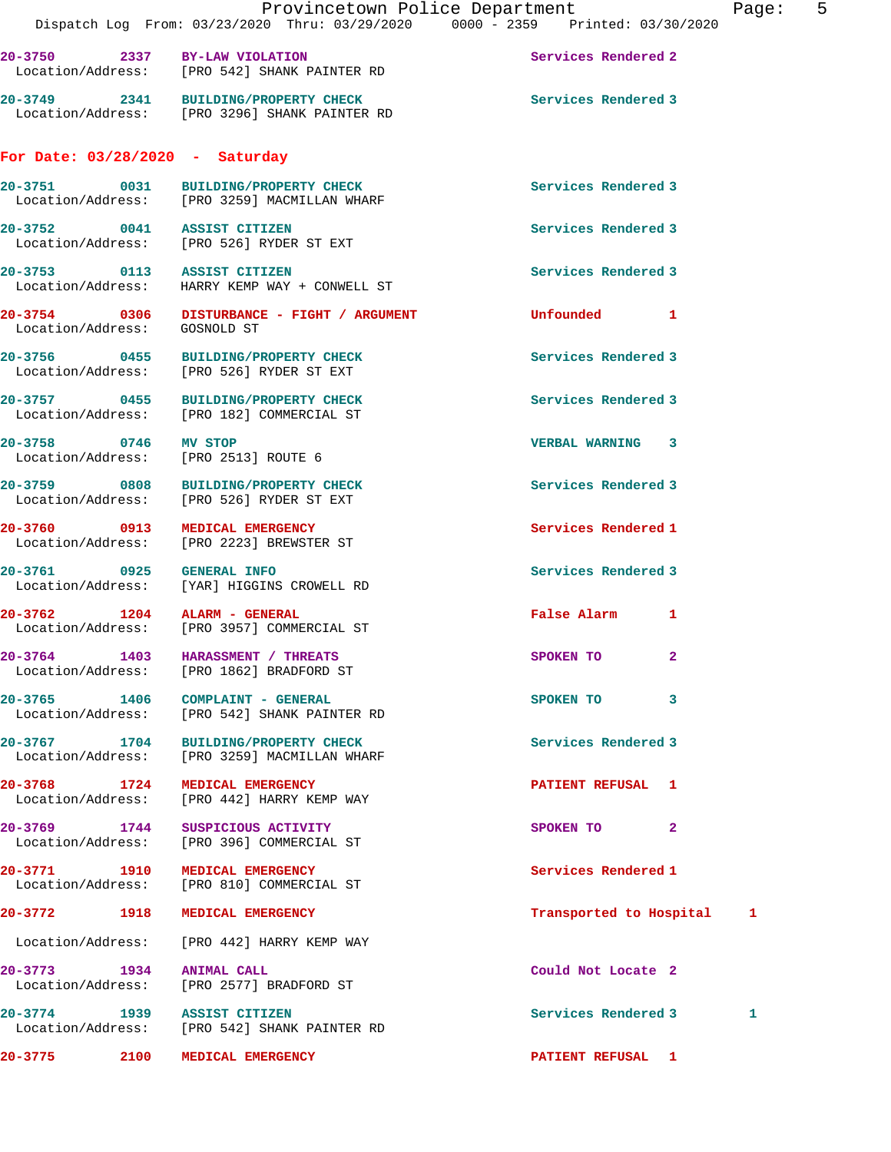|                                                              |                                                                                       | Provincetown Police Department<br>Page: 5                                      |  |
|--------------------------------------------------------------|---------------------------------------------------------------------------------------|--------------------------------------------------------------------------------|--|
|                                                              |                                                                                       | Dispatch Log From: 03/23/2020 Thru: 03/29/2020 0000 - 2359 Printed: 03/30/2020 |  |
|                                                              | 20-3750 2337 BY-LAW VIOLATION<br>Location/Address: [PRO 542] SHANK PAINTER RD         | Services Rendered 2                                                            |  |
|                                                              | 20-3749 2341 BUILDING/PROPERTY CHECK<br>Location/Address: [PRO 3296] SHANK PAINTER RD | Services Rendered 3                                                            |  |
| For Date: $03/28/2020$ - Saturday                            |                                                                                       |                                                                                |  |
|                                                              | 20-3751 0031 BUILDING/PROPERTY CHECK<br>Location/Address: [PRO 3259] MACMILLAN WHARF  | Services Rendered 3                                                            |  |
|                                                              | 20-3752 0041 ASSIST CITIZEN<br>Location/Address: [PRO 526] RYDER ST EXT               | Services Rendered 3                                                            |  |
| 20-3753 0113 ASSIST CITIZEN                                  | Location/Address: HARRY KEMP WAY + CONWELL ST                                         | Services Rendered 3                                                            |  |
| Location/Address: GOSNOLD ST                                 | 20-3754 0306 DISTURBANCE - FIGHT / ARGUMENT                                           | Unfounded 1                                                                    |  |
|                                                              | 20-3756 0455 BUILDING/PROPERTY CHECK<br>Location/Address: [PRO 526] RYDER ST EXT      | Services Rendered 3                                                            |  |
|                                                              | 20-3757 0455 BUILDING/PROPERTY CHECK<br>Location/Address: [PRO 182] COMMERCIAL ST     | Services Rendered 3                                                            |  |
| 20-3758 0746 MV STOP<br>Location/Address: [PRO 2513] ROUTE 6 |                                                                                       | <b>VERBAL WARNING 3</b>                                                        |  |
|                                                              | 20-3759 0808 BUILDING/PROPERTY CHECK<br>Location/Address: [PRO 526] RYDER ST EXT      | Services Rendered 3                                                            |  |
|                                                              | 20-3760 0913 MEDICAL EMERGENCY<br>Location/Address: [PRO 2223] BREWSTER ST            | Services Rendered 1                                                            |  |
| 20-3761 0925 GENERAL INFO                                    | Location/Address: [YAR] HIGGINS CROWELL RD                                            | Services Rendered 3                                                            |  |
| 20-3762 1204 ALARM - GENERAL                                 | Location/Address: [PRO 3957] COMMERCIAL ST                                            | False Alarm 1                                                                  |  |
|                                                              | 20-3764 1403 HARASSMENT / THREATS<br>Location/Address: [PRO 1862] BRADFORD ST         | SPOKEN TO 2                                                                    |  |
|                                                              | 20-3765 1406 COMPLAINT - GENERAL<br>Location/Address: [PRO 542] SHANK PAINTER RD      | SPOKEN TO 3                                                                    |  |
|                                                              | 20-3767 1704 BUILDING/PROPERTY CHECK<br>Location/Address: [PRO 3259] MACMILLAN WHARF  | Services Rendered 3                                                            |  |
| 20-3768 1724 MEDICAL EMERGENCY                               | Location/Address: [PRO 442] HARRY KEMP WAY                                            | PATIENT REFUSAL 1                                                              |  |
|                                                              | 20-3769 1744 SUSPICIOUS ACTIVITY<br>Location/Address: [PRO 396] COMMERCIAL ST         | SPOKEN TO 2                                                                    |  |
| 20-3771 1910 MEDICAL EMERGENCY                               | Location/Address: [PRO 810] COMMERCIAL ST                                             | Services Rendered 1                                                            |  |
| 20-3772 1918 MEDICAL EMERGENCY                               |                                                                                       | Transported to Hospital 1                                                      |  |
|                                                              | Location/Address: [PRO 442] HARRY KEMP WAY                                            |                                                                                |  |
| 20-3773 1934 ANIMAL CALL                                     | Location/Address: [PRO 2577] BRADFORD ST                                              | Could Not Locate 2                                                             |  |
| 20-3774 1939 ASSIST CITIZEN                                  | Location/Address: [PRO 542] SHANK PAINTER RD                                          | Services Rendered 3<br>1                                                       |  |
| 20-3775                                                      | 2100 MEDICAL EMERGENCY                                                                | <b>PATIENT REFUSAL 1</b>                                                       |  |